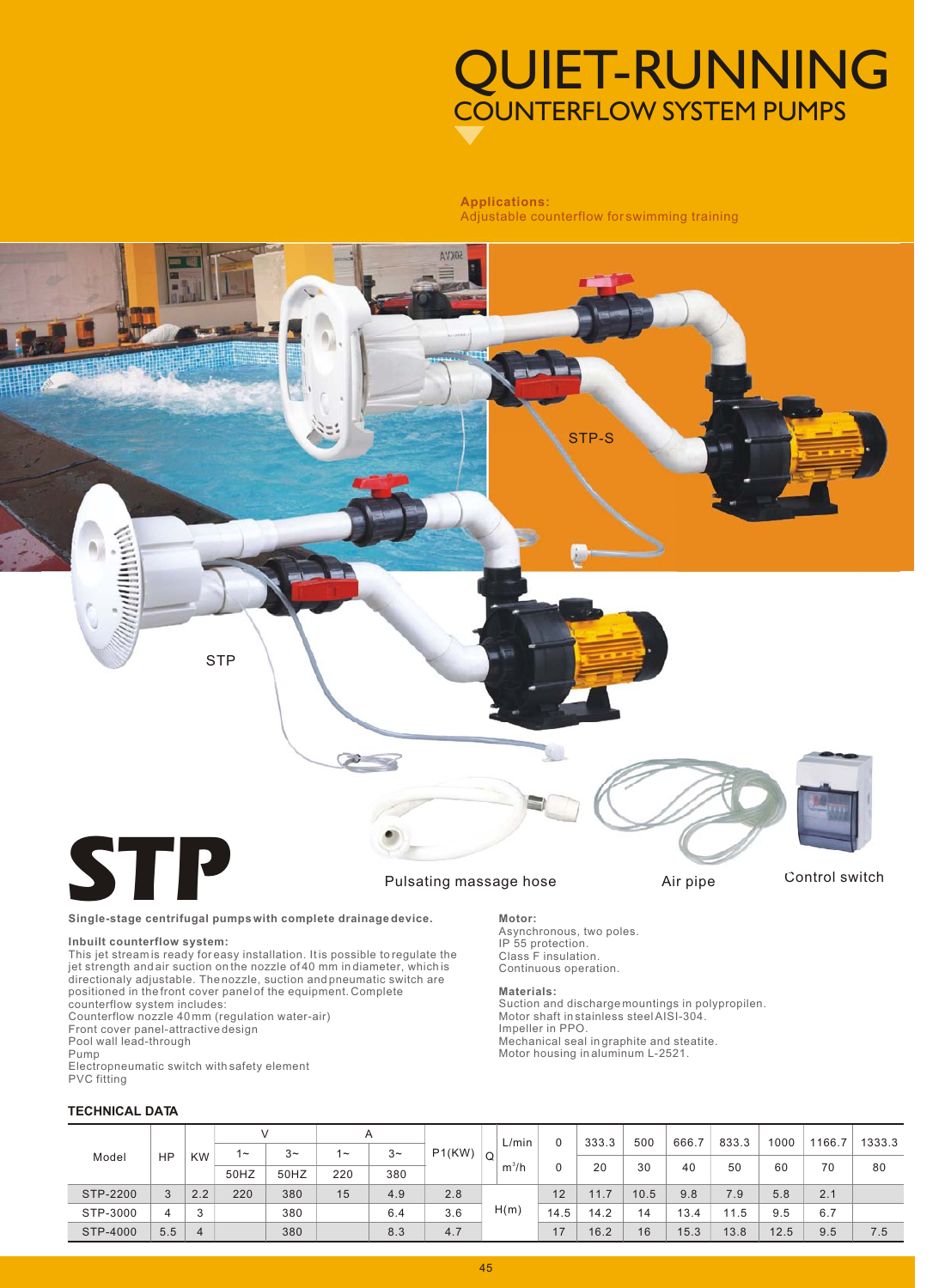# COUNTERFLOW SYSTEM PUMPS QUIET-RUNNING

### **Applications:** Adjustable counterflow for swimming training



### **Single-stage centrifugal pumps with complete drainage device. Motor:**

**Inbuilt counterflow system:**<br>This jet streamis ready foreasy installation. Itis possible to regulate the<br>jet strength and air suction on the nozzle of 40 mm in diameter, which is<br>directionaly adjustable. Thenozzle, suctio positioned in the front cover panel of the equipment. Complete counterflow system includes:

Counterflow nozzle 40 mm (regulation water-air)

Front cover panel-attractive design Pool wall lead-through

Pump

Electropneumatic switch with safety element PVC fitting

### **TECHNICAL DATA**

Asynchronous, two poles. IP 55 protection. Class F insulation Continuous operation.

### **Materials:**

Suction and discharge mountings in polypropilen. Motor shaft in stainless steel AISI-304. Impeller in PPO. Mechanical seal in graphite and steatite. Motor housing in aluminum L-2521.

|          |           |           |       |      | Α      |       |        |   | L/min   | 0    | 333.3 | 500  | 666.7 | 833.3 | 1000 | 1166.7 | 1333.3 |
|----------|-----------|-----------|-------|------|--------|-------|--------|---|---------|------|-------|------|-------|-------|------|--------|--------|
| Model    | <b>HP</b> | <b>KW</b> | $1 -$ | $3-$ | $\sim$ | $3 -$ | P1(KW) | Q |         |      |       |      |       |       |      |        |        |
|          |           |           |       |      |        |       |        |   | $m^3/h$ |      | 20    | 30   | 40    | 50    | 60   | 70     | 80     |
|          |           |           | 50HZ  | 50HZ | 220    | 380   |        |   |         |      |       |      |       |       |      |        |        |
| STP-2200 | 3         | 2.2       | 220   | 380  | 15     | 4.9   | 2.8    |   |         | 12   | 11.7  | 10.5 | 9.8   | 7.9   | 5.8  | 2.1    |        |
| STP-3000 | 4         | 3         |       | 380  |        | 6.4   | 3.6    |   | H(m)    | 14.5 | 14.2  | 14   | 13.4  | 11.5  | 9.5  | 6.7    |        |
| STP-4000 | 5.5       | 4         |       | 380  |        | 8.3   | 4.7    |   |         | 17   | 16.2  | 16   | 15.3  | 13.8  | 12.5 | 9.5    | 7.5    |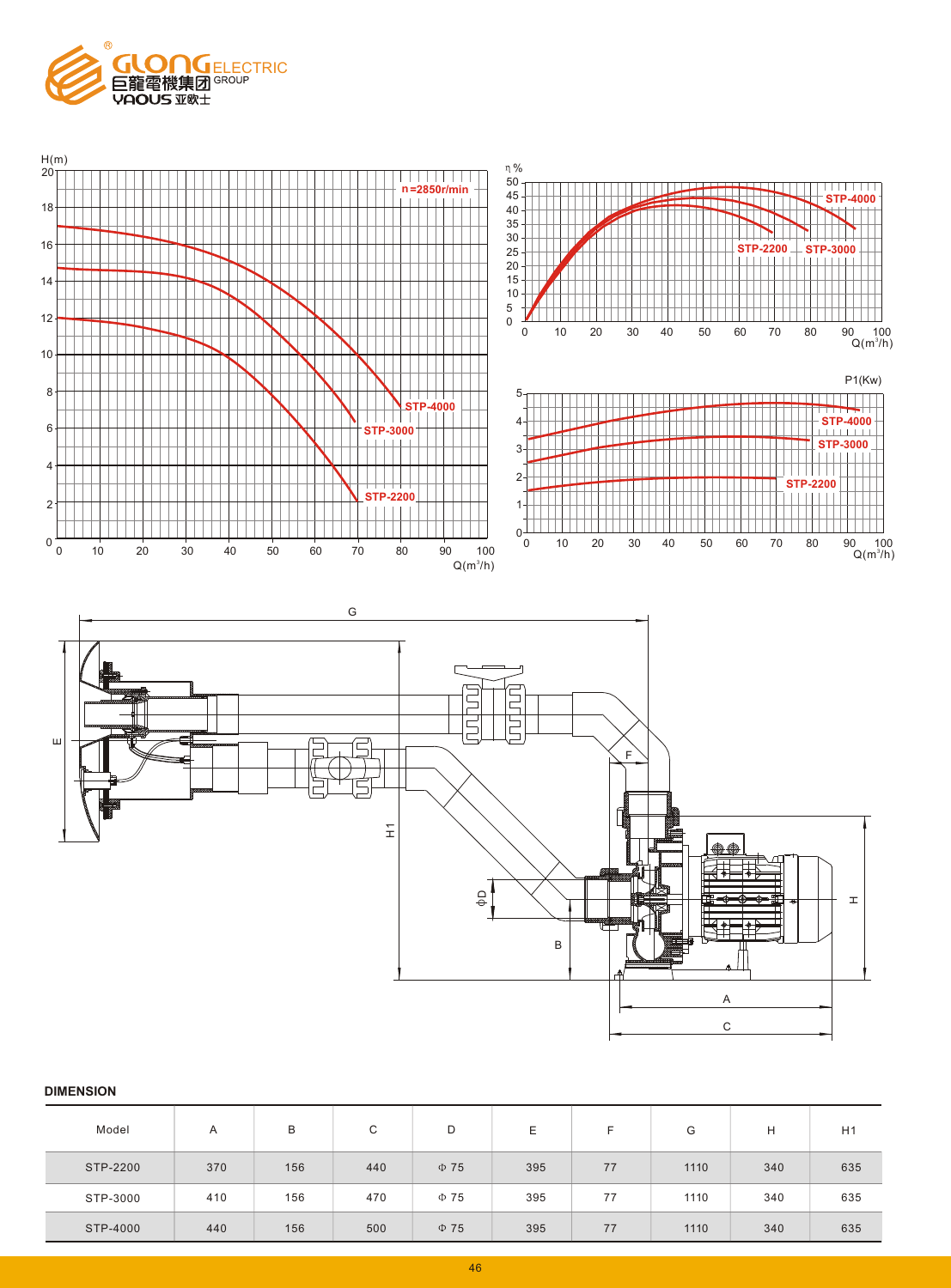





| Model    | A   | В   | C   | D         | Ε   | E  | G    | н   | H1  |
|----------|-----|-----|-----|-----------|-----|----|------|-----|-----|
| STP-2200 | 370 | 156 | 440 | $\Phi$ 75 | 395 | 77 | 1110 | 340 | 635 |
| STP-3000 | 410 | 156 | 470 | $\Phi$ 75 | 395 | 77 | 1110 | 340 | 635 |
| STP-4000 | 440 | 156 | 500 | $\Phi$ 75 | 395 | 77 | 1110 | 340 | 635 |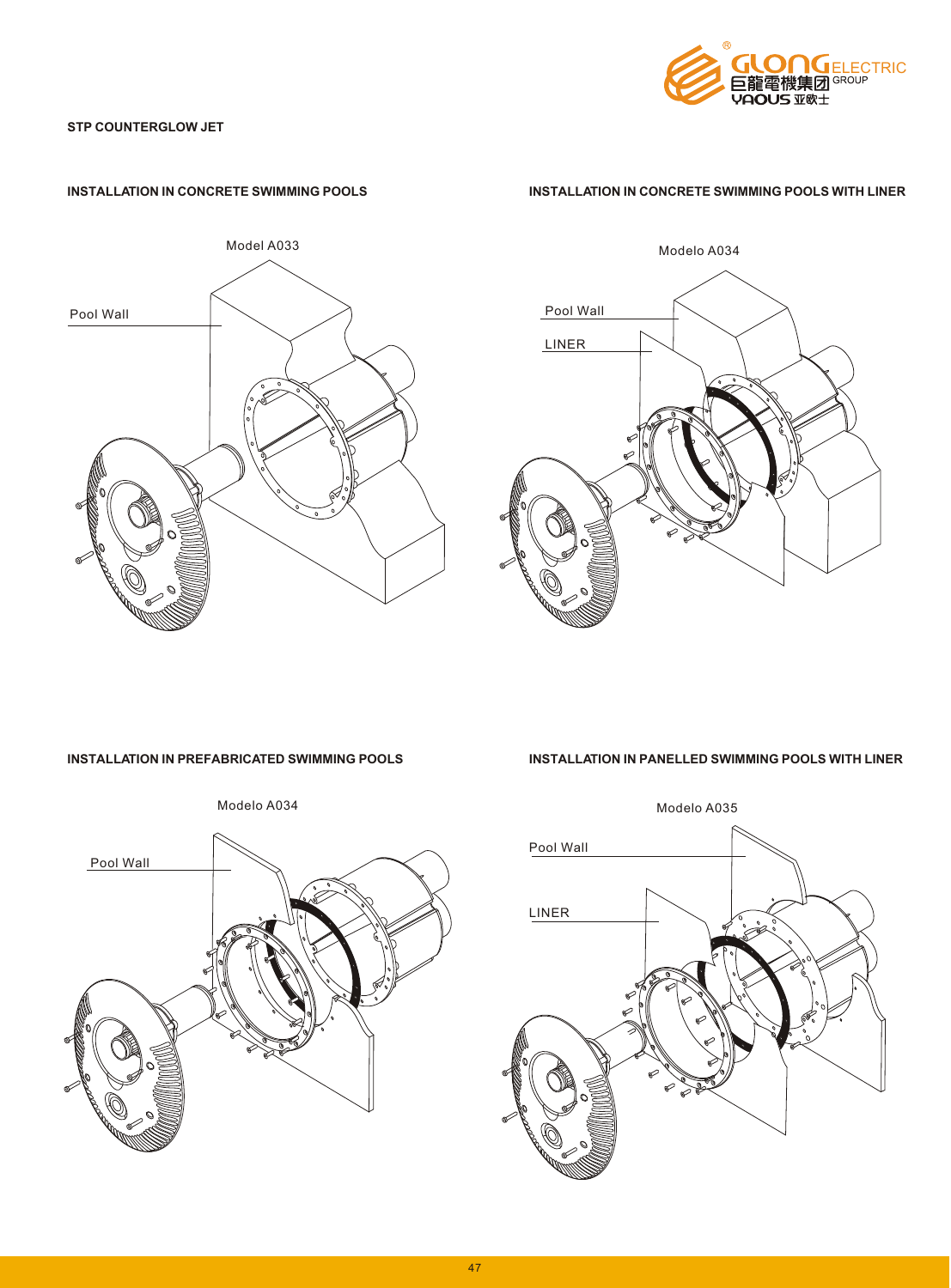

# **STP COUNTERGLOW JET**



## **INSTALLATION IN CONCRETE SWIMMING POOLS INSTALLATION IN CONCRETE SWIMMING POOLS WITH LINER**





**INSTALLATION IN PREFABRICATED SWIMMING POOLS INSTALLATION IN PANELLED SWIMMING POOLS WITH LINER**